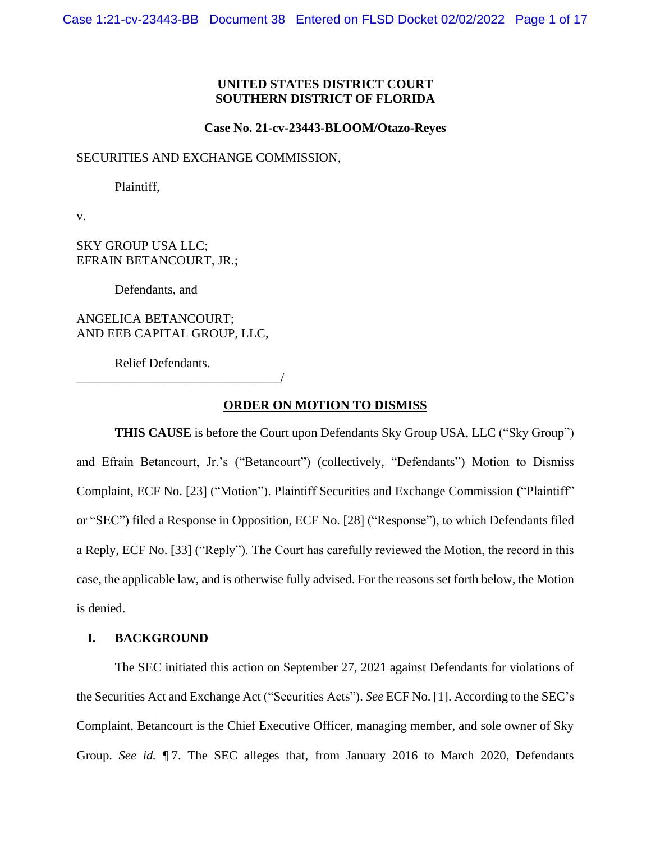# **UNITED STATES DISTRICT COURT SOUTHERN DISTRICT OF FLORIDA**

#### **Case No. 21-cv-23443-BLOOM/Otazo-Reyes**

SECURITIES AND EXCHANGE COMMISSION,

Plaintiff,

v.

SKY GROUP USA LLC; EFRAIN BETANCOURT, JR.;

Defendants, and

ANGELICA BETANCOURT; AND EEB CAPITAL GROUP, LLC,

\_\_\_\_\_\_\_\_\_\_\_\_\_\_\_\_\_\_\_\_\_\_\_\_\_\_\_\_\_\_\_\_/

Relief Defendants.

# **ORDER ON MOTION TO DISMISS**

**THIS CAUSE** is before the Court upon Defendants Sky Group USA, LLC ("Sky Group") and Efrain Betancourt, Jr.'s ("Betancourt") (collectively, "Defendants") Motion to Dismiss Complaint, ECF No. [23] ("Motion"). Plaintiff Securities and Exchange Commission ("Plaintiff" or "SEC") filed a Response in Opposition, ECF No. [28] ("Response"), to which Defendants filed a Reply, ECF No. [33] ("Reply"). The Court has carefully reviewed the Motion, the record in this case, the applicable law, and is otherwise fully advised. For the reasons set forth below, the Motion is denied.

#### **I. BACKGROUND**

The SEC initiated this action on September 27, 2021 against Defendants for violations of the Securities Act and Exchange Act ("Securities Acts"). *See* ECF No. [1]. According to the SEC's Complaint, Betancourt is the Chief Executive Officer, managing member, and sole owner of Sky Group. *See id.* ¶ 7. The SEC alleges that, from January 2016 to March 2020, Defendants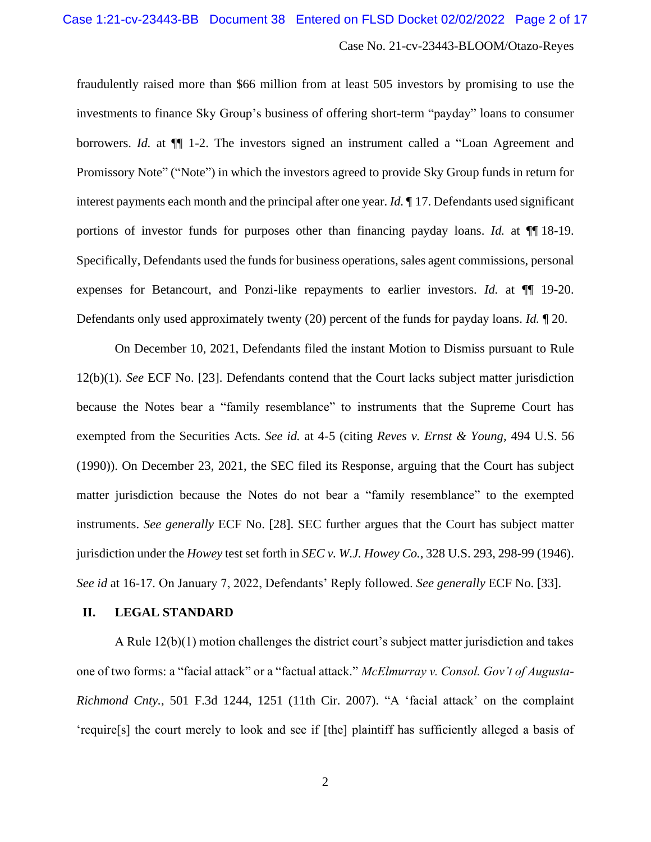fraudulently raised more than \$66 million from at least 505 investors by promising to use the investments to finance Sky Group's business of offering short-term "payday" loans to consumer borrowers. *Id.* at ¶¶ 1-2. The investors signed an instrument called a "Loan Agreement and Promissory Note" ("Note") in which the investors agreed to provide Sky Group funds in return for interest payments each month and the principal after one year. *Id.* ¶ 17. Defendants used significant portions of investor funds for purposes other than financing payday loans. *Id.* at ¶¶ 18-19. Specifically, Defendants used the funds for business operations, sales agent commissions, personal expenses for Betancourt, and Ponzi-like repayments to earlier investors. *Id.* at ¶¶ 19-20. Defendants only used approximately twenty (20) percent of the funds for payday loans. *Id.* ¶ 20.

On December 10, 2021, Defendants filed the instant Motion to Dismiss pursuant to Rule 12(b)(1). *See* ECF No. [23]. Defendants contend that the Court lacks subject matter jurisdiction because the Notes bear a "family resemblance" to instruments that the Supreme Court has exempted from the Securities Acts. *See id.* at 4-5 (citing *Reves v. Ernst & Young,* 494 U.S. 56 (1990)). On December 23, 2021, the SEC filed its Response, arguing that the Court has subject matter jurisdiction because the Notes do not bear a "family resemblance" to the exempted instruments. *See generally* ECF No. [28]. SEC further argues that the Court has subject matter jurisdiction under the *Howey* test set forth in *SEC v. W.J. Howey Co.*, 328 U.S. 293, 298-99 (1946). *See id* at 16-17*.* On January 7, 2022, Defendants' Reply followed. *See generally* ECF No. [33].

#### **II. LEGAL STANDARD**

A Rule 12(b)(1) motion challenges the district court's subject matter jurisdiction and takes one of two forms: a "facial attack" or a "factual attack." *McElmurray v. Consol. Gov't of Augusta-Richmond Cnty.*, 501 F.3d 1244, 1251 (11th Cir. 2007). "A 'facial attack' on the complaint 'require[s] the court merely to look and see if [the] plaintiff has sufficiently alleged a basis of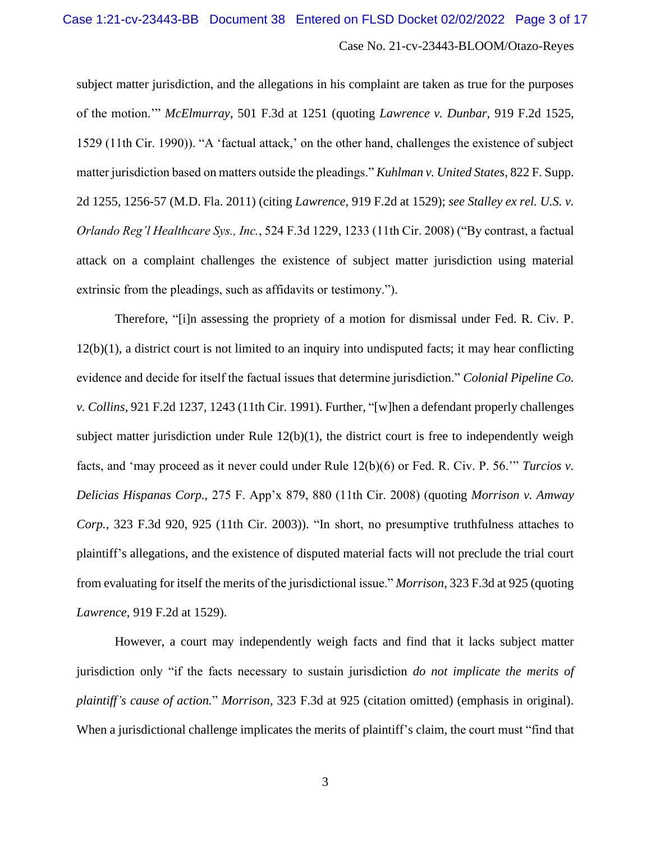subject matter jurisdiction, and the allegations in his complaint are taken as true for the purposes of the motion.'" *McElmurray*, 501 F.3d at 1251 (quoting *Lawrence v. Dunbar,* 919 F.2d 1525, 1529 (11th Cir. 1990)). "A 'factual attack,' on the other hand, challenges the existence of subject matter jurisdiction based on matters outside the pleadings." *Kuhlman v. United States*, 822 F. Supp. 2d 1255, 1256-57 (M.D. Fla. 2011) (citing *Lawrence,* 919 F.2d at 1529); *see Stalley ex rel. U.S. v. Orlando Reg'l Healthcare Sys., Inc.*, 524 F.3d 1229, 1233 (11th Cir. 2008) ("By contrast, a factual attack on a complaint challenges the existence of subject matter jurisdiction using material extrinsic from the pleadings, such as affidavits or testimony.").

Therefore, "[i]n assessing the propriety of a motion for dismissal under Fed. R. Civ. P. 12(b)(1), a district court is not limited to an inquiry into undisputed facts; it may hear conflicting evidence and decide for itself the factual issues that determine jurisdiction." *Colonial Pipeline Co. v. Collins*, 921 F.2d 1237, 1243 (11th Cir. 1991). Further, "[w]hen a defendant properly challenges subject matter jurisdiction under Rule 12(b)(1), the district court is free to independently weigh facts, and 'may proceed as it never could under Rule 12(b)(6) or Fed. R. Civ. P. 56.'" *Turcios v. Delicias Hispanas Corp.,* 275 F. App'x 879, 880 (11th Cir. 2008) (quoting *Morrison v. Amway Corp.,* 323 F.3d 920, 925 (11th Cir. 2003)). "In short, no presumptive truthfulness attaches to plaintiff's allegations, and the existence of disputed material facts will not preclude the trial court from evaluating for itself the merits of the jurisdictional issue." *Morrison*, 323 F.3d at 925 (quoting *Lawrence*, 919 F.2d at 1529).

However, a court may independently weigh facts and find that it lacks subject matter jurisdiction only "if the facts necessary to sustain jurisdiction *do not implicate the merits of plaintiff's cause of action.*" *Morrison*, 323 F.3d at 925 (citation omitted) (emphasis in original). When a jurisdictional challenge implicates the merits of plaintiff's claim, the court must "find that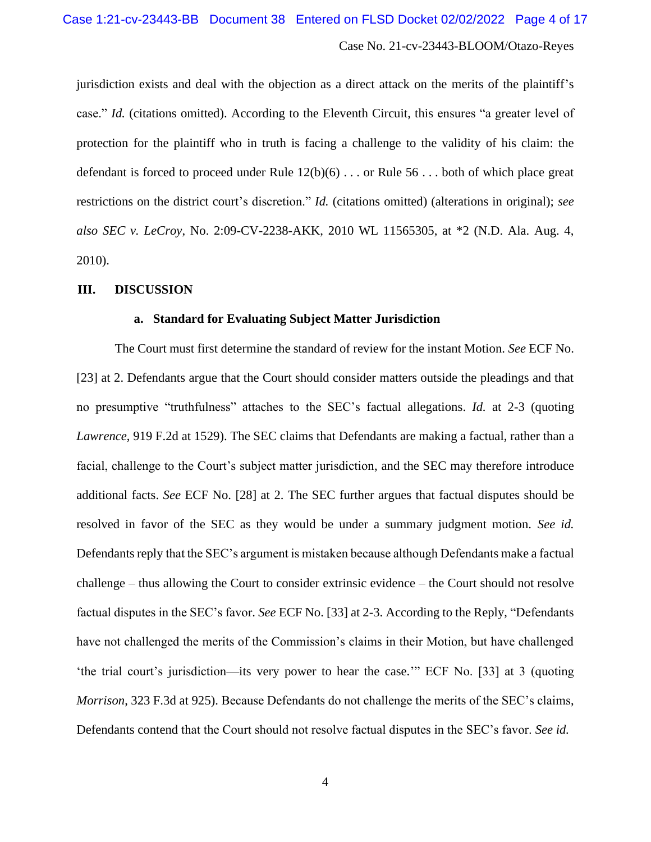jurisdiction exists and deal with the objection as a direct attack on the merits of the plaintiff's case." *Id.* (citations omitted). According to the Eleventh Circuit, this ensures "a greater level of protection for the plaintiff who in truth is facing a challenge to the validity of his claim: the defendant is forced to proceed under Rule 12(b)(6) . . . or Rule 56 . . . both of which place great restrictions on the district court's discretion." *Id.* (citations omitted) (alterations in original); *see also SEC v. LeCroy*, No. 2:09-CV-2238-AKK, 2010 WL 11565305, at \*2 (N.D. Ala. Aug. 4, 2010).

#### **III. DISCUSSION**

#### **a. Standard for Evaluating Subject Matter Jurisdiction**

The Court must first determine the standard of review for the instant Motion. *See* ECF No. [23] at 2. Defendants argue that the Court should consider matters outside the pleadings and that no presumptive "truthfulness" attaches to the SEC's factual allegations. *Id.* at 2-3 (quoting *Lawrence*, 919 F.2d at 1529). The SEC claims that Defendants are making a factual, rather than a facial, challenge to the Court's subject matter jurisdiction, and the SEC may therefore introduce additional facts. *See* ECF No. [28] at 2. The SEC further argues that factual disputes should be resolved in favor of the SEC as they would be under a summary judgment motion. *See id.*  Defendants reply that the SEC's argument is mistaken because although Defendants make a factual challenge – thus allowing the Court to consider extrinsic evidence – the Court should not resolve factual disputes in the SEC's favor. *See* ECF No. [33] at 2-3. According to the Reply, "Defendants have not challenged the merits of the Commission's claims in their Motion, but have challenged 'the trial court's jurisdiction—its very power to hear the case.'" ECF No. [33] at 3 (quoting *Morrison*, 323 F.3d at 925). Because Defendants do not challenge the merits of the SEC's claims, Defendants contend that the Court should not resolve factual disputes in the SEC's favor. *See id.*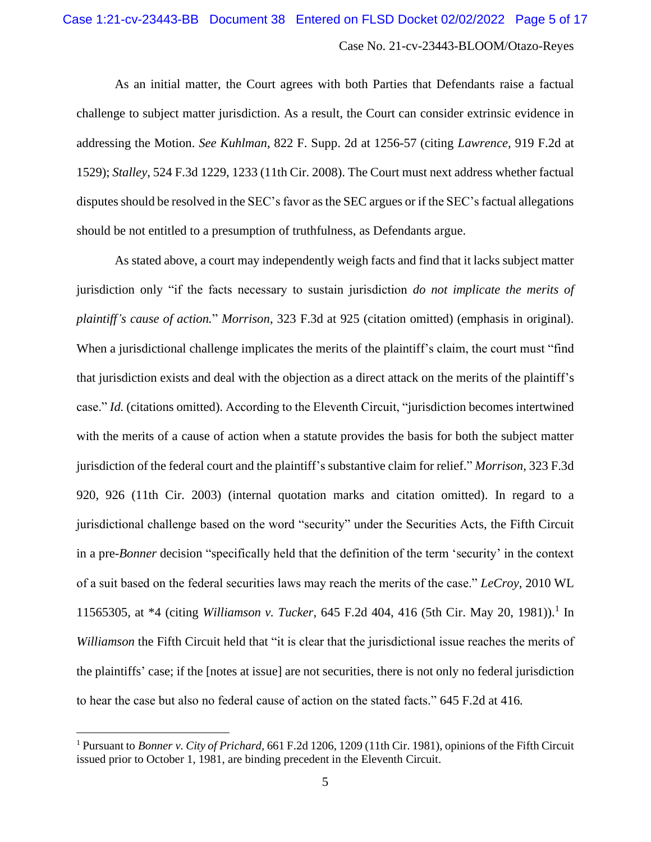As an initial matter, the Court agrees with both Parties that Defendants raise a factual challenge to subject matter jurisdiction. As a result, the Court can consider extrinsic evidence in addressing the Motion. *See Kuhlman*, 822 F. Supp. 2d at 1256-57 (citing *Lawrence,* 919 F.2d at 1529); *Stalley*, 524 F.3d 1229, 1233 (11th Cir. 2008). The Court must next address whether factual disputes should be resolved in the SEC's favor as the SEC argues or if the SEC's factual allegations should be not entitled to a presumption of truthfulness, as Defendants argue.

As stated above, a court may independently weigh facts and find that it lacks subject matter jurisdiction only "if the facts necessary to sustain jurisdiction *do not implicate the merits of plaintiff's cause of action.*" *Morrison*, 323 F.3d at 925 (citation omitted) (emphasis in original). When a jurisdictional challenge implicates the merits of the plaintiff's claim, the court must "find" that jurisdiction exists and deal with the objection as a direct attack on the merits of the plaintiff's case." *Id.* (citations omitted). According to the Eleventh Circuit, "jurisdiction becomes intertwined with the merits of a cause of action when a statute provides the basis for both the subject matter jurisdiction of the federal court and the plaintiff's substantive claim for relief." *Morrison*, 323 F.3d 920, 926 (11th Cir. 2003) (internal quotation marks and citation omitted). In regard to a jurisdictional challenge based on the word "security" under the Securities Acts, the Fifth Circuit in a pre-*Bonner* decision "specifically held that the definition of the term 'security' in the context of a suit based on the federal securities laws may reach the merits of the case." *LeCroy*, 2010 WL 11565305, at \*4 (citing *Williamson v. Tucker*, 645 F.2d 404, 416 (5th Cir. May 20, 1981)). 1 In *Williamson* the Fifth Circuit held that "it is clear that the jurisdictional issue reaches the merits of the plaintiffs' case; if the [notes at issue] are not securities, there is not only no federal jurisdiction to hear the case but also no federal cause of action on the stated facts." 645 F.2d at 416*.*

<sup>1</sup> Pursuant to *Bonner v. City of Prichard*, 661 F.2d 1206, 1209 (11th Cir. 1981), opinions of the Fifth Circuit issued prior to October 1, 1981, are binding precedent in the Eleventh Circuit.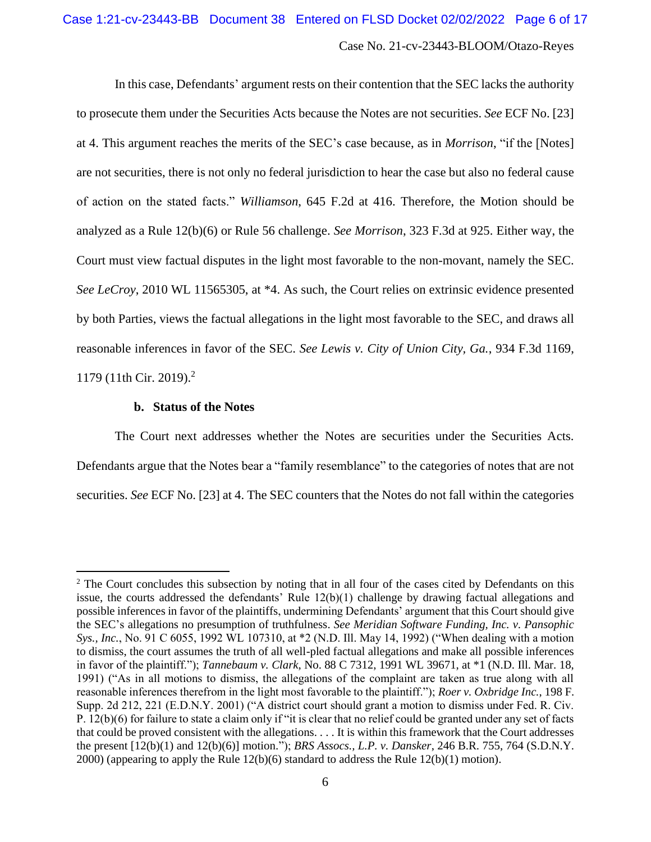In this case, Defendants' argument rests on their contention that the SEC lacks the authority to prosecute them under the Securities Acts because the Notes are not securities. *See* ECF No. [23] at 4. This argument reaches the merits of the SEC's case because, as in *Morrison*, "if the [Notes] are not securities, there is not only no federal jurisdiction to hear the case but also no federal cause of action on the stated facts." *Williamson*, 645 F.2d at 416. Therefore, the Motion should be analyzed as a Rule 12(b)(6) or Rule 56 challenge. *See Morrison*, 323 F.3d at 925. Either way, the Court must view factual disputes in the light most favorable to the non-movant, namely the SEC. *See LeCroy*, 2010 WL 11565305, at \*4. As such, the Court relies on extrinsic evidence presented by both Parties, views the factual allegations in the light most favorable to the SEC, and draws all reasonable inferences in favor of the SEC. *See Lewis v. City of Union City, Ga.*, 934 F.3d 1169, 1179 (11th Cir. 2019). 2

#### **b. Status of the Notes**

The Court next addresses whether the Notes are securities under the Securities Acts. Defendants argue that the Notes bear a "family resemblance" to the categories of notes that are not securities. *See* ECF No. [23] at 4. The SEC counters that the Notes do not fall within the categories

<sup>&</sup>lt;sup>2</sup> The Court concludes this subsection by noting that in all four of the cases cited by Defendants on this issue, the courts addressed the defendants' Rule 12(b)(1) challenge by drawing factual allegations and possible inferences in favor of the plaintiffs, undermining Defendants' argument that this Court should give the SEC's allegations no presumption of truthfulness. *See Meridian Software Funding, Inc. v. Pansophic Sys., Inc.*, No. 91 C 6055, 1992 WL 107310, at \*2 (N.D. Ill. May 14, 1992) ("When dealing with a motion to dismiss, the court assumes the truth of all well-pled factual allegations and make all possible inferences in favor of the plaintiff."); *Tannebaum v. Clark*, No. 88 C 7312, 1991 WL 39671, at \*1 (N.D. Ill. Mar. 18, 1991) ("As in all motions to dismiss, the allegations of the complaint are taken as true along with all reasonable inferences therefrom in the light most favorable to the plaintiff."); *Roer v. Oxbridge Inc.*, 198 F. Supp. 2d 212, 221 (E.D.N.Y. 2001) ("A district court should grant a motion to dismiss under Fed. R. Civ. P. 12(b)(6) for failure to state a claim only if "it is clear that no relief could be granted under any set of facts that could be proved consistent with the allegations. . . . It is within this framework that the Court addresses the present [12(b)(1) and 12(b)(6)] motion."); *BRS Assocs., L.P. v. Dansker*, 246 B.R. 755, 764 (S.D.N.Y. 2000) (appearing to apply the Rule 12(b)(6) standard to address the Rule 12(b)(1) motion).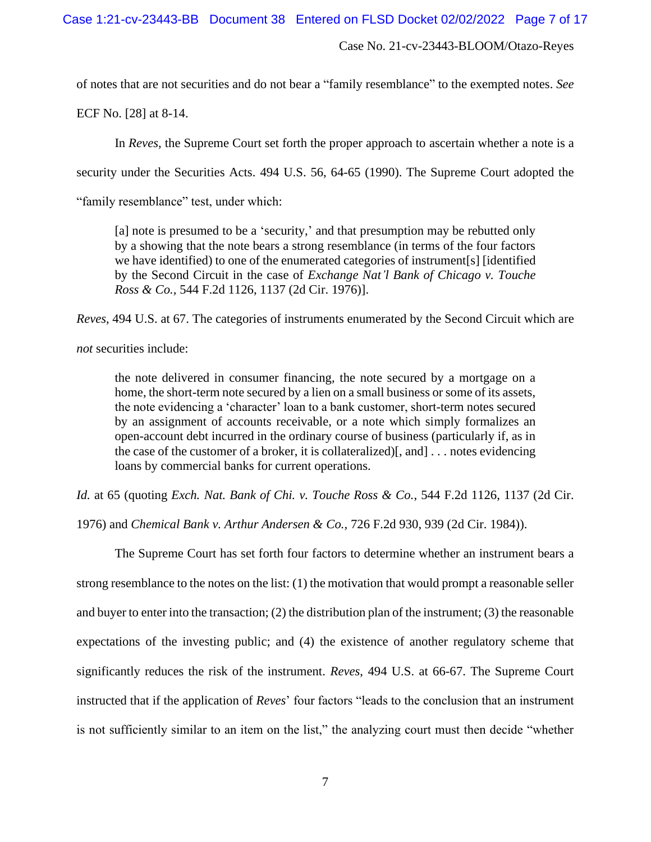of notes that are not securities and do not bear a "family resemblance" to the exempted notes. *See* 

ECF No. [28] at 8-14.

In *Reves,* the Supreme Court set forth the proper approach to ascertain whether a note is a

security under the Securities Acts. 494 U.S. 56, 64-65 (1990). The Supreme Court adopted the

"family resemblance" test, under which:

[a] note is presumed to be a 'security,' and that presumption may be rebutted only by a showing that the note bears a strong resemblance (in terms of the four factors we have identified) to one of the enumerated categories of instrument[s] [identified by the Second Circuit in the case of *Exchange Nat'l Bank of Chicago v. Touche Ross & Co.,* 544 F.2d 1126, 1137 (2d Cir. 1976)].

*Reves*, 494 U.S. at 67. The categories of instruments enumerated by the Second Circuit which are

*not* securities include:

the note delivered in consumer financing, the note secured by a mortgage on a home, the short-term note secured by a lien on a small business or some of its assets, the note evidencing a 'character' loan to a bank customer, short-term notes secured by an assignment of accounts receivable, or a note which simply formalizes an open-account debt incurred in the ordinary course of business (particularly if, as in the case of the customer of a broker, it is collateralized)[, and] . . . notes evidencing loans by commercial banks for current operations.

*Id.* at 65 (quoting *Exch. Nat. Bank of Chi. v. Touche Ross & Co.*, 544 F.2d 1126, 1137 (2d Cir.

1976) and *Chemical Bank v. Arthur Andersen & Co.,* 726 F.2d 930, 939 (2d Cir. 1984)).

The Supreme Court has set forth four factors to determine whether an instrument bears a strong resemblance to the notes on the list: (1) the motivation that would prompt a reasonable seller and buyer to enter into the transaction; (2) the distribution plan of the instrument; (3) the reasonable expectations of the investing public; and (4) the existence of another regulatory scheme that significantly reduces the risk of the instrument. *Reves*, 494 U.S. at 66-67. The Supreme Court instructed that if the application of *Reves*' four factors "leads to the conclusion that an instrument is not sufficiently similar to an item on the list," the analyzing court must then decide "whether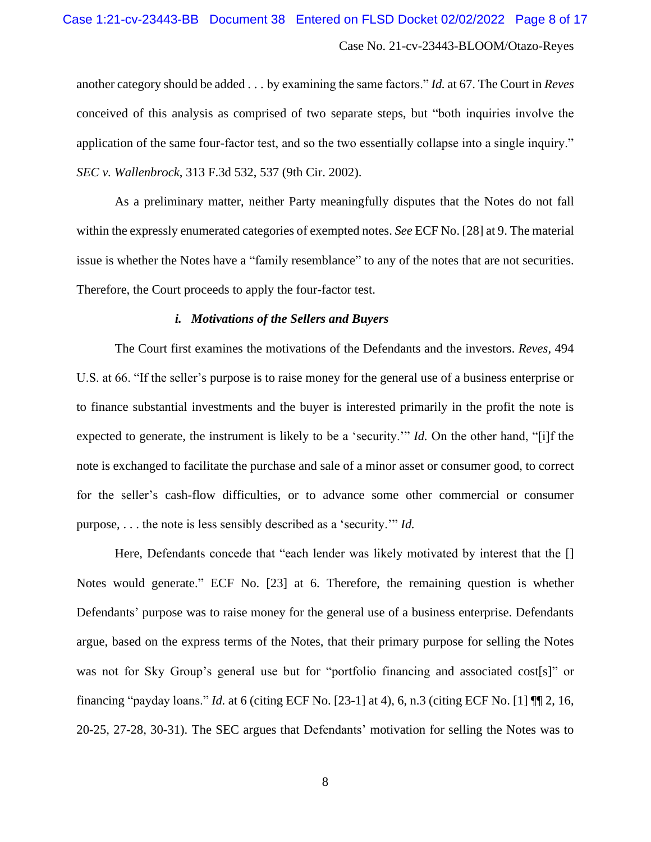#### Case 1:21-cv-23443-BB Document 38 Entered on FLSD Docket 02/02/2022 Page 8 of 17

# Case No. 21-cv-23443-BLOOM/Otazo-Reyes

another category should be added . . . by examining the same factors." *Id.* at 67. The Court in *Reves* conceived of this analysis as comprised of two separate steps, but "both inquiries involve the application of the same four-factor test, and so the two essentially collapse into a single inquiry." *SEC v. Wallenbrock*, 313 F.3d 532, 537 (9th Cir. 2002).

As a preliminary matter, neither Party meaningfully disputes that the Notes do not fall within the expressly enumerated categories of exempted notes. *See* ECF No. [28] at 9. The material issue is whether the Notes have a "family resemblance" to any of the notes that are not securities. Therefore, the Court proceeds to apply the four-factor test.

#### *i. Motivations of the Sellers and Buyers*

The Court first examines the motivations of the Defendants and the investors. *Reves,* 494 U.S. at 66. "If the seller's purpose is to raise money for the general use of a business enterprise or to finance substantial investments and the buyer is interested primarily in the profit the note is expected to generate, the instrument is likely to be a 'security.'" *Id.* On the other hand, "[i]f the note is exchanged to facilitate the purchase and sale of a minor asset or consumer good, to correct for the seller's cash-flow difficulties, or to advance some other commercial or consumer purpose, . . . the note is less sensibly described as a 'security.'" *Id.*

Here, Defendants concede that "each lender was likely motivated by interest that the [] Notes would generate." ECF No. [23] at 6. Therefore, the remaining question is whether Defendants' purpose was to raise money for the general use of a business enterprise. Defendants argue, based on the express terms of the Notes, that their primary purpose for selling the Notes was not for Sky Group's general use but for "portfolio financing and associated cost[s]" or financing "payday loans." *Id.* at 6 (citing ECF No. [23-1] at 4), 6, n.3 (citing ECF No. [1] ¶¶ 2, 16, 20-25, 27-28, 30-31). The SEC argues that Defendants' motivation for selling the Notes was to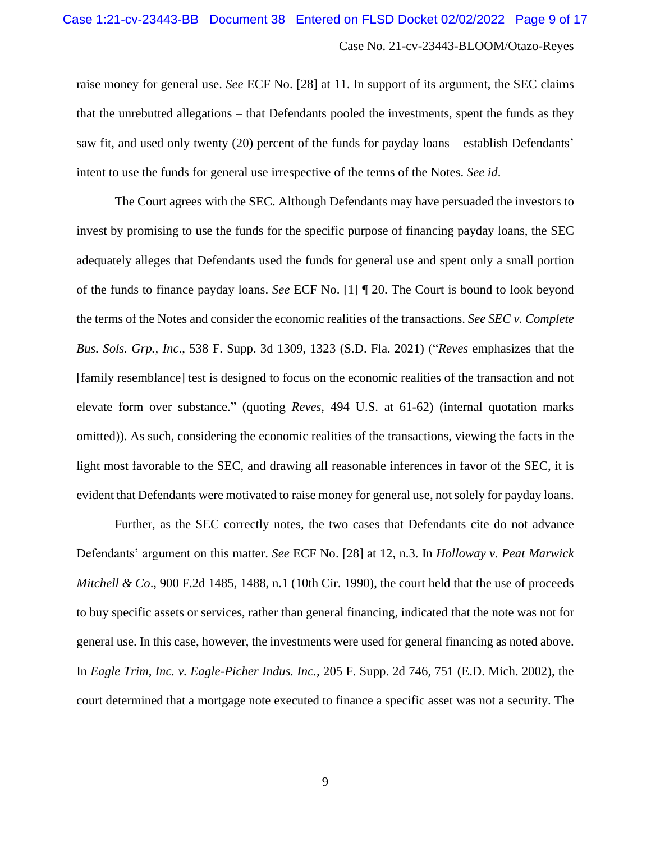#### Case 1:21-cv-23443-BB Document 38 Entered on FLSD Docket 02/02/2022 Page 9 of 17

# Case No. 21-cv-23443-BLOOM/Otazo-Reyes

raise money for general use. *See* ECF No. [28] at 11. In support of its argument, the SEC claims that the unrebutted allegations – that Defendants pooled the investments, spent the funds as they saw fit, and used only twenty (20) percent of the funds for payday loans – establish Defendants' intent to use the funds for general use irrespective of the terms of the Notes. *See id*.

The Court agrees with the SEC. Although Defendants may have persuaded the investors to invest by promising to use the funds for the specific purpose of financing payday loans, the SEC adequately alleges that Defendants used the funds for general use and spent only a small portion of the funds to finance payday loans. *See* ECF No. [1] ¶ 20. The Court is bound to look beyond the terms of the Notes and consider the economic realities of the transactions. *See SEC v. Complete Bus. Sols. Grp., Inc*., 538 F. Supp. 3d 1309, 1323 (S.D. Fla. 2021) ("*Reves* emphasizes that the [family resemblance] test is designed to focus on the economic realities of the transaction and not elevate form over substance." (quoting *Reves*, 494 U.S. at 61-62) (internal quotation marks omitted)). As such, considering the economic realities of the transactions, viewing the facts in the light most favorable to the SEC, and drawing all reasonable inferences in favor of the SEC, it is evident that Defendants were motivated to raise money for general use, not solely for payday loans.

Further, as the SEC correctly notes, the two cases that Defendants cite do not advance Defendants' argument on this matter. *See* ECF No. [28] at 12, n.3. In *Holloway v. Peat Marwick Mitchell & Co.*, 900 F.2d 1485, 1488, n.1 (10th Cir. 1990), the court held that the use of proceeds to buy specific assets or services, rather than general financing, indicated that the note was not for general use. In this case, however, the investments were used for general financing as noted above. In *Eagle Trim, Inc. v. Eagle-Picher Indus. Inc.,* 205 F. Supp. 2d 746, 751 (E.D. Mich. 2002), the court determined that a mortgage note executed to finance a specific asset was not a security. The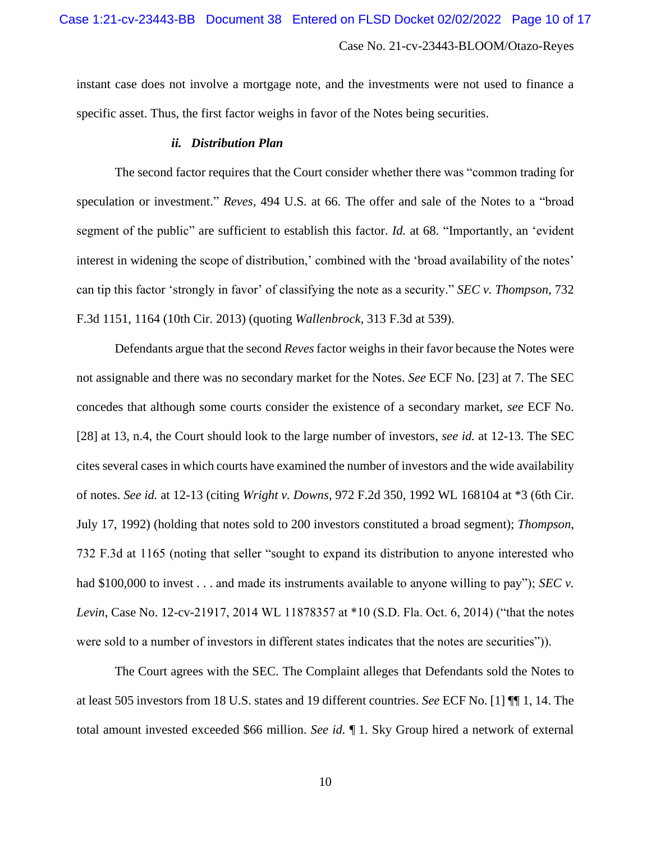instant case does not involve a mortgage note, and the investments were not used to finance a specific asset. Thus, the first factor weighs in favor of the Notes being securities.

#### *ii. Distribution Plan*

The second factor requires that the Court consider whether there was "common trading for speculation or investment." *Reves,* 494 U.S. at 66. The offer and sale of the Notes to a "broad segment of the public" are sufficient to establish this factor. *Id.* at 68. "Importantly, an 'evident interest in widening the scope of distribution,' combined with the 'broad availability of the notes' can tip this factor 'strongly in favor' of classifying the note as a security." *SEC v. Thompson*, 732 F.3d 1151, 1164 (10th Cir. 2013) (quoting *Wallenbrock,* 313 F.3d at 539).

Defendants argue that the second *Reves* factor weighs in their favor because the Notes were not assignable and there was no secondary market for the Notes. *See* ECF No. [23] at 7. The SEC concedes that although some courts consider the existence of a secondary market, *see* ECF No. [28] at 13, n.4, the Court should look to the large number of investors, *see id.* at 12-13. The SEC cites several cases in which courts have examined the number of investors and the wide availability of notes. *See id.* at 12-13 (citing *Wright v. Downs*, 972 F.2d 350, 1992 WL 168104 at \*3 (6th Cir. July 17, 1992) (holding that notes sold to 200 investors constituted a broad segment); *Thompson*, 732 F.3d at 1165 (noting that seller "sought to expand its distribution to anyone interested who had \$100,000 to invest . . . and made its instruments available to anyone willing to pay"); *SEC v*. *Levin*, Case No. 12-cv-21917, 2014 WL 11878357 at \*10 (S.D. Fla. Oct. 6, 2014) ("that the notes were sold to a number of investors in different states indicates that the notes are securities")).

The Court agrees with the SEC. The Complaint alleges that Defendants sold the Notes to at least 505 investors from 18 U.S. states and 19 different countries. *See* ECF No. [1] ¶¶ 1, 14. The total amount invested exceeded \$66 million. *See id.* ¶ 1. Sky Group hired a network of external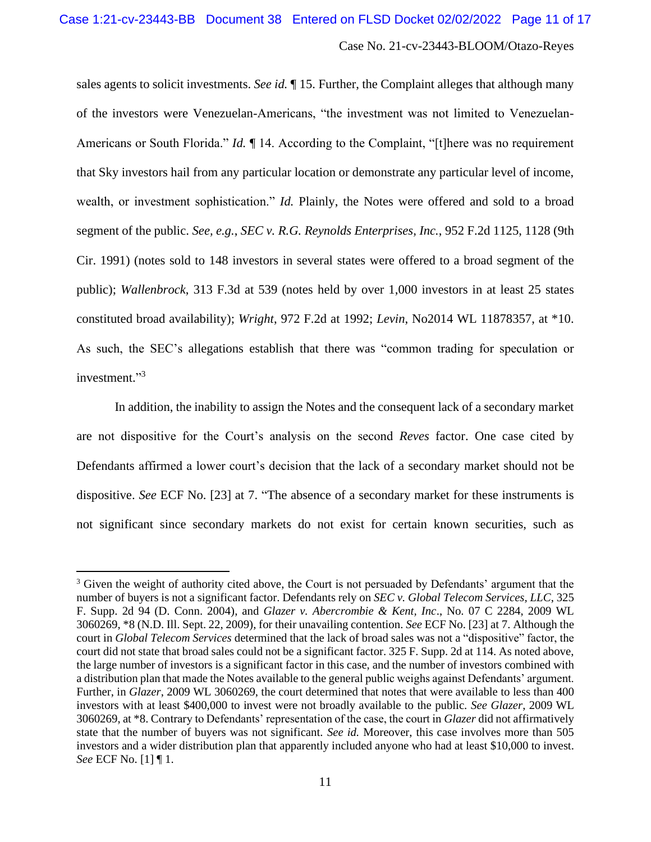sales agents to solicit investments. *See id.* ¶ 15. Further, the Complaint alleges that although many of the investors were Venezuelan-Americans, "the investment was not limited to Venezuelan-Americans or South Florida." *Id.*  $\P$  14. According to the Complaint, "[t]here was no requirement that Sky investors hail from any particular location or demonstrate any particular level of income, wealth, or investment sophistication." *Id.* Plainly, the Notes were offered and sold to a broad segment of the public. *See, e.g.*, *SEC v. R.G. Reynolds Enterprises, Inc.*, 952 F.2d 1125, 1128 (9th Cir. 1991) (notes sold to 148 investors in several states were offered to a broad segment of the public); *Wallenbrock*, 313 F.3d at 539 (notes held by over 1,000 investors in at least 25 states constituted broad availability); *Wright*, 972 F.2d at 1992; *Levin*, No2014 WL 11878357, at \*10. As such, the SEC's allegations establish that there was "common trading for speculation or investment."<sup>3</sup>

In addition, the inability to assign the Notes and the consequent lack of a secondary market are not dispositive for the Court's analysis on the second *Reves* factor. One case cited by Defendants affirmed a lower court's decision that the lack of a secondary market should not be dispositive. *See* ECF No. [23] at 7. "The absence of a secondary market for these instruments is not significant since secondary markets do not exist for certain known securities, such as

<sup>&</sup>lt;sup>3</sup> Given the weight of authority cited above, the Court is not persuaded by Defendants' argument that the number of buyers is not a significant factor. Defendants rely on *SEC v. Global Telecom Services, LLC*, 325 F. Supp. 2d 94 (D. Conn. 2004), and *Glazer v. Abercrombie & Kent, Inc*., No. 07 C 2284, 2009 WL 3060269, \*8 (N.D. Ill. Sept. 22, 2009), for their unavailing contention. *See* ECF No. [23] at 7. Although the court in *Global Telecom Services* determined that the lack of broad sales was not a "dispositive" factor, the court did not state that broad sales could not be a significant factor. 325 F. Supp. 2d at 114. As noted above, the large number of investors is a significant factor in this case, and the number of investors combined with a distribution plan that made the Notes available to the general public weighs against Defendants' argument. Further, in *Glazer*, 2009 WL 3060269, the court determined that notes that were available to less than 400 investors with at least \$400,000 to invest were not broadly available to the public. *See Glazer*, 2009 WL 3060269, at \*8. Contrary to Defendants' representation of the case, the court in *Glazer* did not affirmatively state that the number of buyers was not significant. *See id.* Moreover, this case involves more than 505 investors and a wider distribution plan that apparently included anyone who had at least \$10,000 to invest. *See* ECF No. [1] ¶ 1.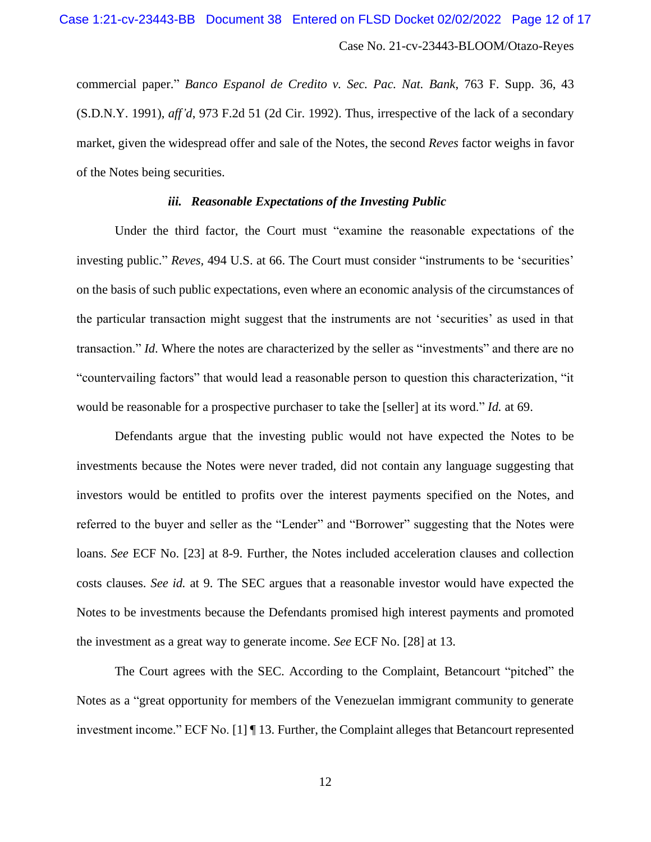commercial paper." *Banco Espanol de Credito v. Sec. Pac. Nat. Bank*, 763 F. Supp. 36, 43 (S.D.N.Y. 1991), *aff'd*, 973 F.2d 51 (2d Cir. 1992). Thus, irrespective of the lack of a secondary market, given the widespread offer and sale of the Notes, the second *Reves* factor weighs in favor of the Notes being securities.

#### *iii. Reasonable Expectations of the Investing Public*

Under the third factor, the Court must "examine the reasonable expectations of the investing public." *Reves,* 494 U.S. at 66. The Court must consider "instruments to be 'securities' on the basis of such public expectations, even where an economic analysis of the circumstances of the particular transaction might suggest that the instruments are not 'securities' as used in that transaction." *Id*. Where the notes are characterized by the seller as "investments" and there are no "countervailing factors" that would lead a reasonable person to question this characterization, "it would be reasonable for a prospective purchaser to take the [seller] at its word." *Id.* at 69.

Defendants argue that the investing public would not have expected the Notes to be investments because the Notes were never traded, did not contain any language suggesting that investors would be entitled to profits over the interest payments specified on the Notes, and referred to the buyer and seller as the "Lender" and "Borrower" suggesting that the Notes were loans. *See* ECF No. [23] at 8-9. Further, the Notes included acceleration clauses and collection costs clauses. *See id.* at 9. The SEC argues that a reasonable investor would have expected the Notes to be investments because the Defendants promised high interest payments and promoted the investment as a great way to generate income. *See* ECF No. [28] at 13.

The Court agrees with the SEC. According to the Complaint, Betancourt "pitched" the Notes as a "great opportunity for members of the Venezuelan immigrant community to generate investment income." ECF No. [1] ¶ 13. Further, the Complaint alleges that Betancourt represented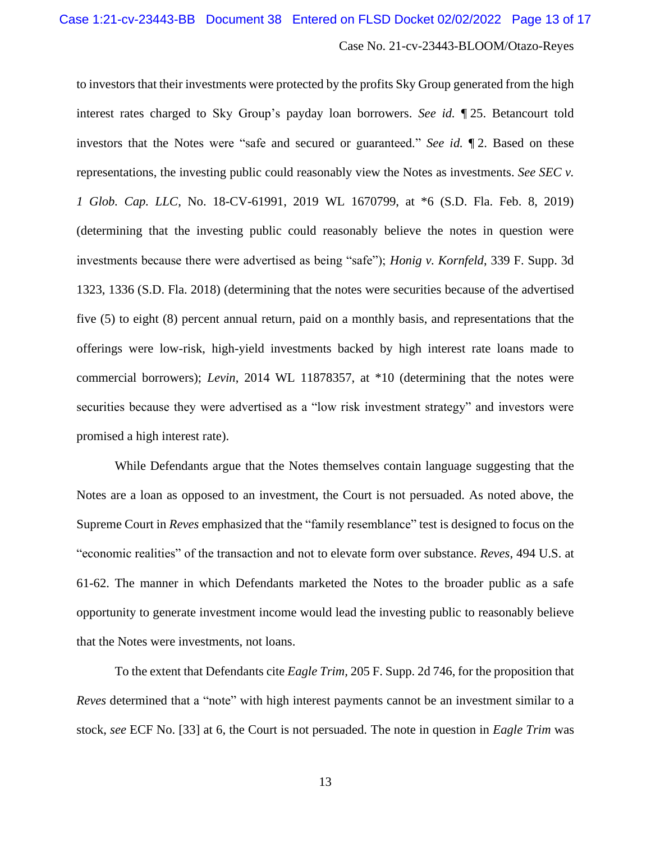to investors that their investments were protected by the profits Sky Group generated from the high interest rates charged to Sky Group's payday loan borrowers. *See id.* ¶ 25. Betancourt told investors that the Notes were "safe and secured or guaranteed." *See id.* ¶ 2. Based on these representations, the investing public could reasonably view the Notes as investments. *See SEC v. 1 Glob. Cap. LLC*, No. 18-CV-61991, 2019 WL 1670799, at \*6 (S.D. Fla. Feb. 8, 2019) (determining that the investing public could reasonably believe the notes in question were investments because there were advertised as being "safe"); *Honig v. Kornfeld*, 339 F. Supp. 3d 1323, 1336 (S.D. Fla. 2018) (determining that the notes were securities because of the advertised five (5) to eight (8) percent annual return, paid on a monthly basis, and representations that the offerings were low-risk, high-yield investments backed by high interest rate loans made to commercial borrowers); *Levin*, 2014 WL 11878357, at \*10 (determining that the notes were securities because they were advertised as a "low risk investment strategy" and investors were promised a high interest rate).

While Defendants argue that the Notes themselves contain language suggesting that the Notes are a loan as opposed to an investment, the Court is not persuaded. As noted above, the Supreme Court in *Reves* emphasized that the "family resemblance" test is designed to focus on the "economic realities" of the transaction and not to elevate form over substance. *Reves*, 494 U.S. at 61-62. The manner in which Defendants marketed the Notes to the broader public as a safe opportunity to generate investment income would lead the investing public to reasonably believe that the Notes were investments, not loans.

To the extent that Defendants cite *Eagle Trim,* 205 F. Supp. 2d 746, for the proposition that *Reves* determined that a "note" with high interest payments cannot be an investment similar to a stock, *see* ECF No. [33] at 6, the Court is not persuaded. The note in question in *Eagle Trim* was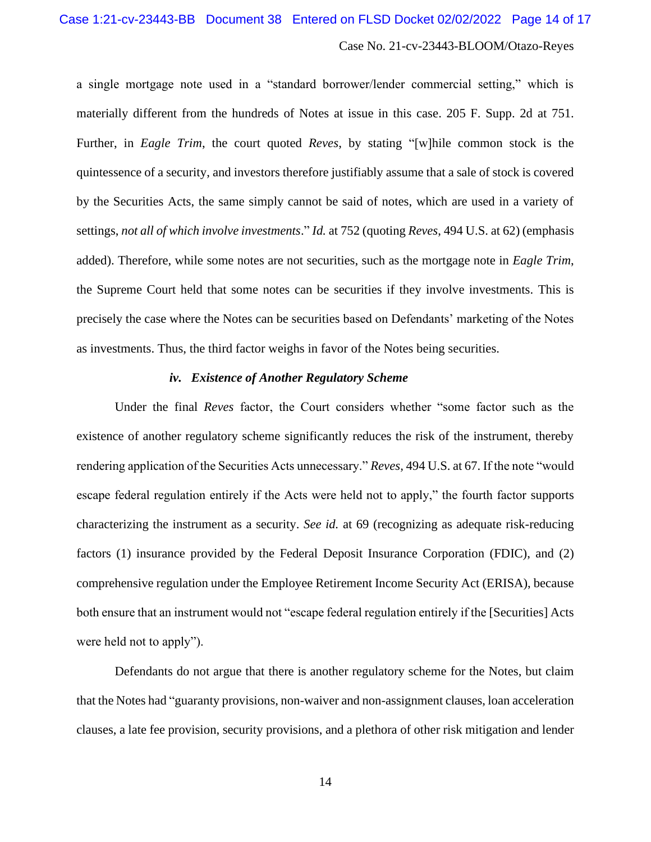a single mortgage note used in a "standard borrower/lender commercial setting," which is materially different from the hundreds of Notes at issue in this case. 205 F. Supp. 2d at 751. Further, in *Eagle Trim*, the court quoted *Reves*, by stating "[w]hile common stock is the quintessence of a security, and investors therefore justifiably assume that a sale of stock is covered by the Securities Acts, the same simply cannot be said of notes, which are used in a variety of settings, *not all of which involve investments*." *Id.* at 752 (quoting *Reves*, 494 U.S. at 62) (emphasis added). Therefore, while some notes are not securities, such as the mortgage note in *Eagle Trim*, the Supreme Court held that some notes can be securities if they involve investments. This is precisely the case where the Notes can be securities based on Defendants' marketing of the Notes as investments. Thus, the third factor weighs in favor of the Notes being securities.

# *iv. Existence of Another Regulatory Scheme*

Under the final *Reves* factor, the Court considers whether "some factor such as the existence of another regulatory scheme significantly reduces the risk of the instrument, thereby rendering application of the Securities Acts unnecessary." *Reves,* 494 U.S. at 67. If the note "would escape federal regulation entirely if the Acts were held not to apply," the fourth factor supports characterizing the instrument as a security. *See id.* at 69 (recognizing as adequate risk-reducing factors (1) insurance provided by the Federal Deposit Insurance Corporation (FDIC), and (2) comprehensive regulation under the Employee Retirement Income Security Act (ERISA), because both ensure that an instrument would not "escape federal regulation entirely if the [Securities] Acts were held not to apply").

Defendants do not argue that there is another regulatory scheme for the Notes, but claim that the Notes had "guaranty provisions, non-waiver and non-assignment clauses, loan acceleration clauses, a late fee provision, security provisions, and a plethora of other risk mitigation and lender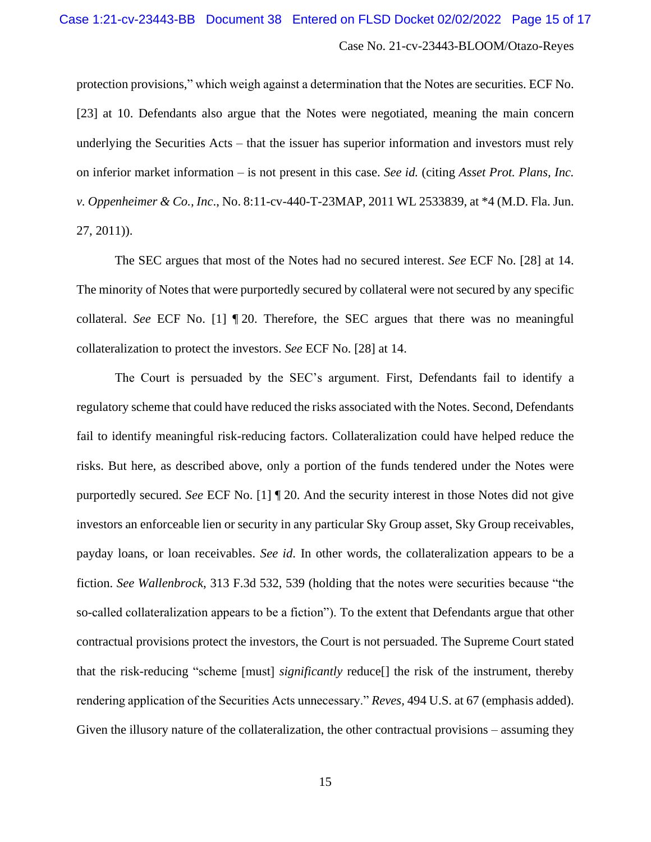protection provisions," which weigh against a determination that the Notes are securities. ECF No. [23] at 10. Defendants also argue that the Notes were negotiated, meaning the main concern underlying the Securities Acts – that the issuer has superior information and investors must rely on inferior market information – is not present in this case. *See id.* (citing *Asset Prot. Plans, Inc. v. Oppenheimer & Co., Inc*., No. 8:11-cv-440-T-23MAP, 2011 WL 2533839, at \*4 (M.D. Fla. Jun. 27, 2011)).

The SEC argues that most of the Notes had no secured interest. *See* ECF No. [28] at 14. The minority of Notes that were purportedly secured by collateral were not secured by any specific collateral. *See* ECF No. [1] ¶ 20. Therefore, the SEC argues that there was no meaningful collateralization to protect the investors. *See* ECF No. [28] at 14.

The Court is persuaded by the SEC's argument. First, Defendants fail to identify a regulatory scheme that could have reduced the risks associated with the Notes. Second, Defendants fail to identify meaningful risk-reducing factors. Collateralization could have helped reduce the risks. But here, as described above, only a portion of the funds tendered under the Notes were purportedly secured. *See* ECF No. [1] ¶ 20. And the security interest in those Notes did not give investors an enforceable lien or security in any particular Sky Group asset, Sky Group receivables, payday loans, or loan receivables. *See id*. In other words, the collateralization appears to be a fiction. *See Wallenbrock*, 313 F.3d 532, 539 (holding that the notes were securities because "the so-called collateralization appears to be a fiction"). To the extent that Defendants argue that other contractual provisions protect the investors, the Court is not persuaded. The Supreme Court stated that the risk-reducing "scheme [must] *significantly* reduce[] the risk of the instrument, thereby rendering application of the Securities Acts unnecessary." *Reves,* 494 U.S. at 67 (emphasis added). Given the illusory nature of the collateralization, the other contractual provisions – assuming they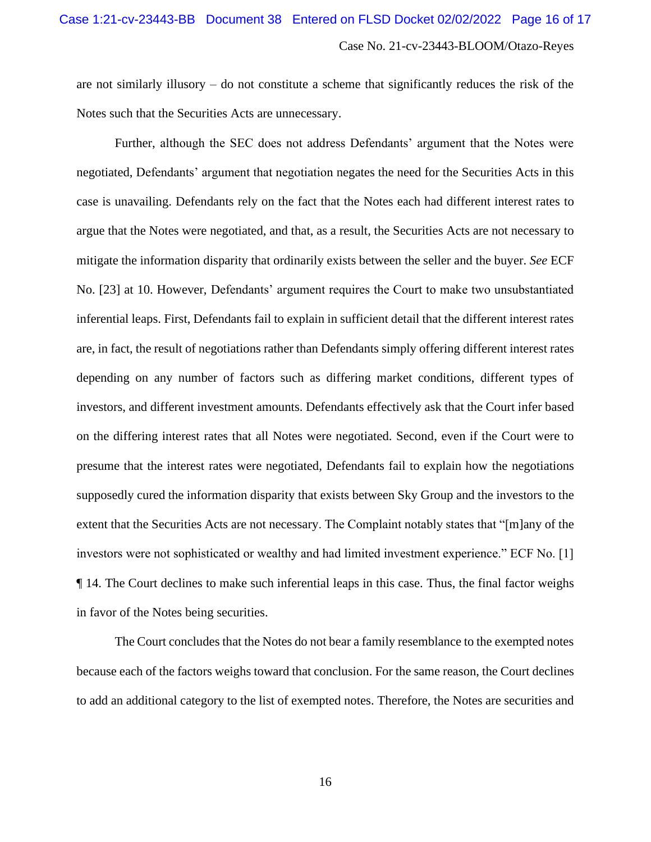are not similarly illusory – do not constitute a scheme that significantly reduces the risk of the Notes such that the Securities Acts are unnecessary.

Further, although the SEC does not address Defendants' argument that the Notes were negotiated, Defendants' argument that negotiation negates the need for the Securities Acts in this case is unavailing. Defendants rely on the fact that the Notes each had different interest rates to argue that the Notes were negotiated, and that, as a result, the Securities Acts are not necessary to mitigate the information disparity that ordinarily exists between the seller and the buyer. *See* ECF No. [23] at 10. However, Defendants' argument requires the Court to make two unsubstantiated inferential leaps. First, Defendants fail to explain in sufficient detail that the different interest rates are, in fact, the result of negotiations rather than Defendants simply offering different interest rates depending on any number of factors such as differing market conditions, different types of investors, and different investment amounts. Defendants effectively ask that the Court infer based on the differing interest rates that all Notes were negotiated. Second, even if the Court were to presume that the interest rates were negotiated, Defendants fail to explain how the negotiations supposedly cured the information disparity that exists between Sky Group and the investors to the extent that the Securities Acts are not necessary. The Complaint notably states that "[m]any of the investors were not sophisticated or wealthy and had limited investment experience." ECF No. [1] ¶ 14. The Court declines to make such inferential leaps in this case. Thus, the final factor weighs in favor of the Notes being securities.

The Court concludes that the Notes do not bear a family resemblance to the exempted notes because each of the factors weighs toward that conclusion. For the same reason, the Court declines to add an additional category to the list of exempted notes. Therefore, the Notes are securities and